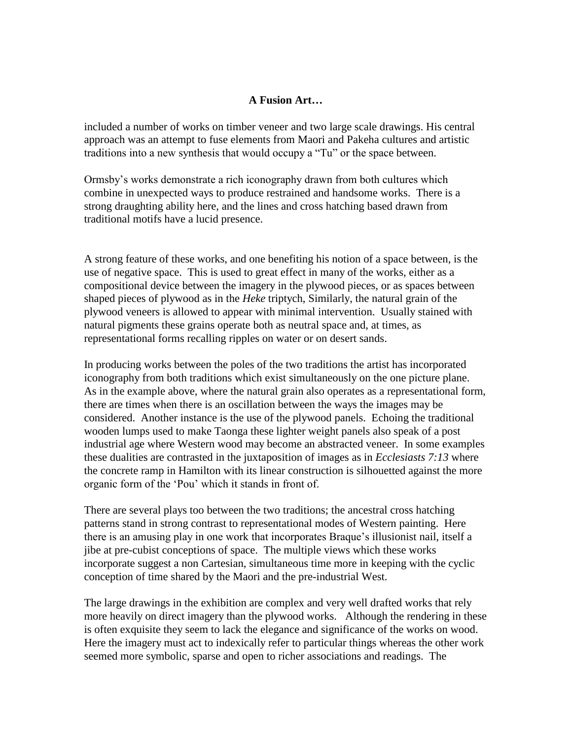## **A Fusion Art…**

included a number of works on timber veneer and two large scale drawings. His central approach was an attempt to fuse elements from Maori and Pakeha cultures and artistic traditions into a new synthesis that would occupy a "Tu" or the space between.

Ormsby"s works demonstrate a rich iconography drawn from both cultures which combine in unexpected ways to produce restrained and handsome works. There is a strong draughting ability here, and the lines and cross hatching based drawn from traditional motifs have a lucid presence.

A strong feature of these works, and one benefiting his notion of a space between, is the use of negative space. This is used to great effect in many of the works, either as a compositional device between the imagery in the plywood pieces, or as spaces between shaped pieces of plywood as in the *Heke* triptych, Similarly, the natural grain of the plywood veneers is allowed to appear with minimal intervention. Usually stained with natural pigments these grains operate both as neutral space and, at times, as representational forms recalling ripples on water or on desert sands.

In producing works between the poles of the two traditions the artist has incorporated iconography from both traditions which exist simultaneously on the one picture plane. As in the example above, where the natural grain also operates as a representational form, there are times when there is an oscillation between the ways the images may be considered. Another instance is the use of the plywood panels. Echoing the traditional wooden lumps used to make Taonga these lighter weight panels also speak of a post industrial age where Western wood may become an abstracted veneer. In some examples these dualities are contrasted in the juxtaposition of images as in *Ecclesiasts 7:13* where the concrete ramp in Hamilton with its linear construction is silhouetted against the more organic form of the "Pou" which it stands in front of.

There are several plays too between the two traditions; the ancestral cross hatching patterns stand in strong contrast to representational modes of Western painting. Here there is an amusing play in one work that incorporates Braque"s illusionist nail, itself a jibe at pre-cubist conceptions of space. The multiple views which these works incorporate suggest a non Cartesian, simultaneous time more in keeping with the cyclic conception of time shared by the Maori and the pre-industrial West.

The large drawings in the exhibition are complex and very well drafted works that rely more heavily on direct imagery than the plywood works. Although the rendering in these is often exquisite they seem to lack the elegance and significance of the works on wood. Here the imagery must act to indexically refer to particular things whereas the other work seemed more symbolic, sparse and open to richer associations and readings. The